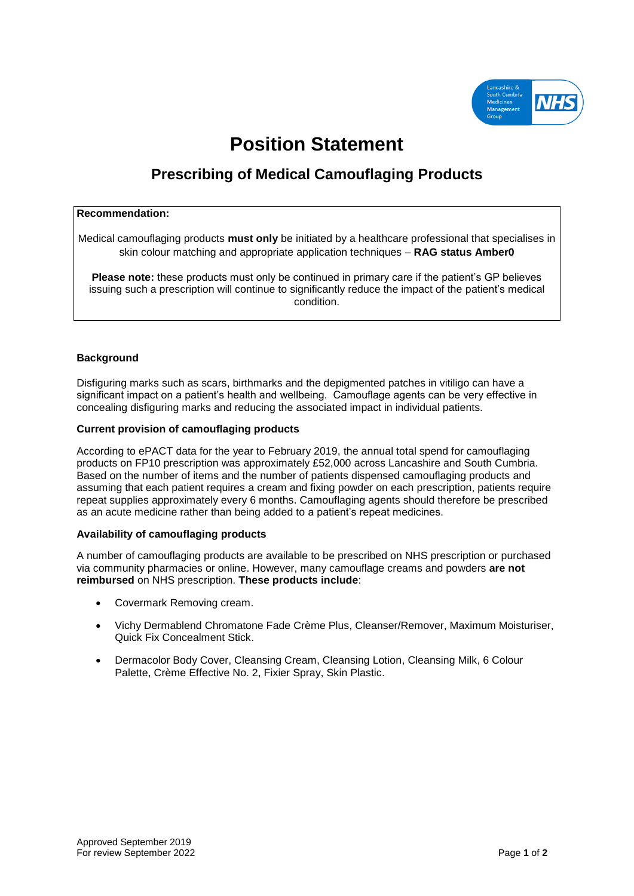

# **Position Statement**

# **Prescribing of Medical Camouflaging Products**

#### **Recommendation:**

Medical camouflaging products **must only** be initiated by a healthcare professional that specialises in skin colour matching and appropriate application techniques – **RAG status Amber0**

**Please note:** these products must only be continued in primary care if the patient's GP believes issuing such a prescription will continue to significantly reduce the impact of the patient's medical condition.

## **Background**

Disfiguring marks such as scars, birthmarks and the depigmented patches in vitiligo can have a significant impact on a patient's health and wellbeing. Camouflage agents can be very effective in concealing disfiguring marks and reducing the associated impact in individual patients.

#### **Current provision of camouflaging products**

According to ePACT data for the year to February 2019, the annual total spend for camouflaging products on FP10 prescription was approximately £52,000 across Lancashire and South Cumbria. Based on the number of items and the number of patients dispensed camouflaging products and assuming that each patient requires a cream and fixing powder on each prescription, patients require repeat supplies approximately every 6 months. Camouflaging agents should therefore be prescribed as an acute medicine rather than being added to a patient's repeat medicines.

## **Availability of camouflaging products**

A number of camouflaging products are available to be prescribed on NHS prescription or purchased via community pharmacies or online. However, many camouflage creams and powders **are not reimbursed** on NHS prescription. **These products include**:

- Covermark Removing cream.
- Vichy Dermablend Chromatone Fade Crème Plus, Cleanser/Remover, Maximum Moisturiser, Quick Fix Concealment Stick.
- Dermacolor Body Cover, Cleansing Cream, Cleansing Lotion, Cleansing Milk, 6 Colour Palette, Crème Effective No. 2, Fixier Spray, Skin Plastic.